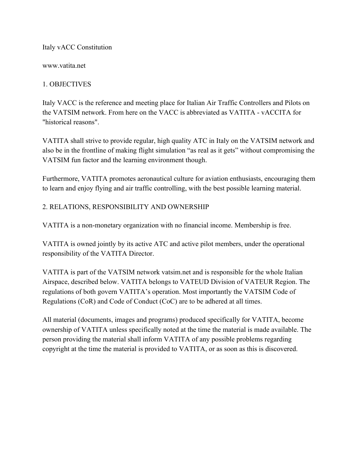## Italy vACC Constitution

www.vatita.net

# 1. OBJECTIVES

Italy VACC is the reference and meeting place for Italian Air Traffic Controllers and Pilots on the VATSIM network. From here on the VACC is abbreviated as VATITA vACCITA for "historical reasons".

VATITA shall strive to provide regular, high quality ATC in Italy on the VATSIM network and also be in the frontline of making flight simulation "as real as it gets" without compromising the VATSIM fun factor and the learning environment though.

Furthermore, VATITA promotes aeronautical culture for aviation enthusiasts, encouraging them to learn and enjoy flying and air traffic controlling, with the best possible learning material.

# 2. RELATIONS, RESPONSIBILITY AND OWNERSHIP

VATITA is a non-monetary organization with no financial income. Membership is free.

VATITA is owned jointly by its active ATC and active pilot members, under the operational responsibility of the VATITA Director.

VATITA is part of the VATSIM network vatsim.net and is responsible for the whole Italian Airspace, described below. VATITA belongs to VATEUD Division of VATEUR Region. The regulations of both govern VATITA's operation. Most importantly the VATSIM Code of Regulations (CoR) and Code of Conduct (CoC) are to be adhered at all times.

All material (documents, images and programs) produced specifically for VATITA, become ownership of VATITA unless specifically noted at the time the material is made available. The person providing the material shall inform VATITA of any possible problems regarding copyright at the time the material is provided to VATITA, or as soon as this is discovered.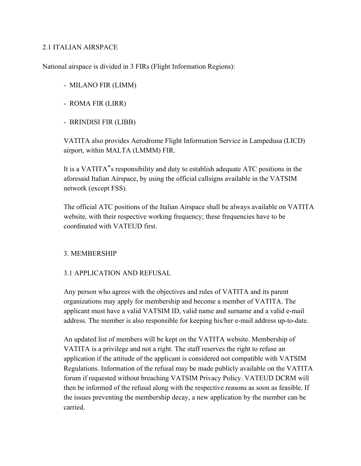## 2.1 ITALIAN AIRSPACE

National airspace is divided in 3 FIRs (Flight Information Regions):

- MILANO FIR (LIMM)
- ROMA FIR (LIRR)
- BRINDISI FIR (LIBB)

VATITA also provides Aerodrome Flight Information Service in Lampedusa (LICD) airport, within MALTA (LMMM) FIR.

It is a VATITA"s responsibility and duty to establish adequate ATC positions in the aforesaid Italian Airspace, by using the official callsigns available in the VATSIM network (except FSS).

The official ATC positions of the Italian Airspace shall be always available on VATITA website, with their respective working frequency; these frequencies have to be coordinated with VATEUD first.

## 3. MEMBERSHIP

## 3.1 APPLICATION AND REFUSAL

Any person who agrees with the objectives and rules of VATITA and its parent organizations may apply for membership and become a member of VATITA. The applicant must have a valid VATSIM ID, valid name and surname and a valid e-mail address. The member is also responsible for keeping his/her e-mail address up-to-date.

An updated list of members will be kept on the VATITA website. Membership of VATITA is a privilege and not a right. The staff reserves the right to refuse an application if the attitude of the applicant is considered not compatible with VATSIM Regulations. Information of the refusal may be made publicly available on the VATITA forum if requested without breaching VATSIM Privacy Policy. VATEUD DCRM will then be informed of the refusal along with the respective reasons as soon as feasible. If the issues preventing the membership decay, a new application by the member can be carried.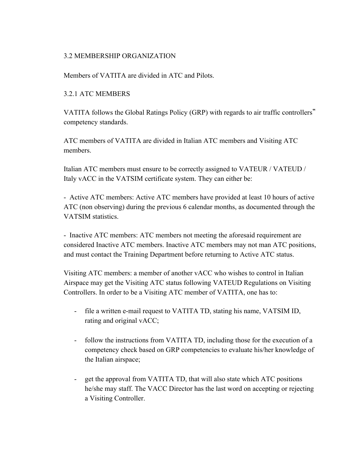#### 3.2 MEMBERSHIP ORGANIZATION

Members of VATITA are divided in ATC and Pilots.

### 3.2.1 ATC MEMBERS

VATITA follows the Global Ratings Policy (GRP) with regards to air traffic controllers" competency standards.

ATC members of VATITA are divided in Italian ATC members and Visiting ATC members.

Italian ATC members must ensure to be correctly assigned to VATEUR / VATEUD / Italy vACC in the VATSIM certificate system. They can either be:

 Active ATC members: Active ATC members have provided at least 10 hours of active ATC (non observing) during the previous 6 calendar months, as documented through the VATSIM statistics.

- Inactive ATC members: ATC members not meeting the aforesaid requirement are considered Inactive ATC members. Inactive ATC members may not man ATC positions, and must contact the Training Department before returning to Active ATC status.

Visiting ATC members: a member of another vACC who wishes to control in Italian Airspace may get the Visiting ATC status following VATEUD Regulations on Visiting Controllers. In order to be a Visiting ATC member of VATITA, one has to:

- file a written email request to VATITA TD, stating his name, VATSIM ID, rating and original vACC;
- follow the instructions from VATITA TD, including those for the execution of a competency check based on GRP competencies to evaluate his/her knowledge of the Italian airspace;
- get the approval from VATITA TD, that will also state which ATC positions he/she may staff. The VACC Director has the last word on accepting or rejecting a Visiting Controller.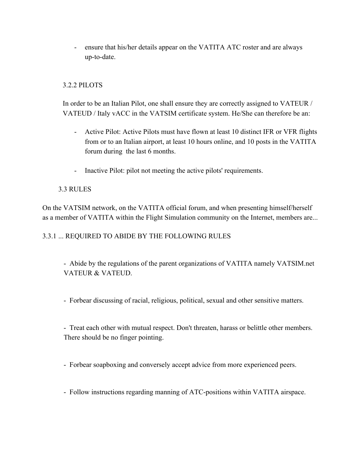- ensure that his/her details appear on the VATITA ATC roster and are always up-to-date.

# 3.2.2 PILOTS

In order to be an Italian Pilot, one shall ensure they are correctly assigned to VATEUR / VATEUD / Italy vACC in the VATSIM certificate system. He/She can therefore be an:

- Active Pilot: Active Pilots must have flown at least 10 distinct IFR or VFR flights from or to an Italian airport, at least 10 hours online, and 10 posts in the VATITA forum during the last 6 months.
- Inactive Pilot: pilot not meeting the active pilots' requirements.

# 3.3 RULES

On the VATSIM network, on the VATITA official forum, and when presenting himself/herself as a member of VATITA within the Flight Simulation community on the Internet, members are...

## 3.3.1 ... REQUIRED TO ABIDE BY THE FOLLOWING RULES

 Abide by the regulations of the parent organizations of VATITA namely VATSIM.net VATEUR & VATEUD.

Forbear discussing of racial, religious, political, sexual and other sensitive matters.

- Treat each other with mutual respect. Don't threaten, harass or belittle other members. There should be no finger pointing.

Forbear soapboxing and conversely accept advice from more experienced peers.

- Follow instructions regarding manning of ATC-positions within VATITA airspace.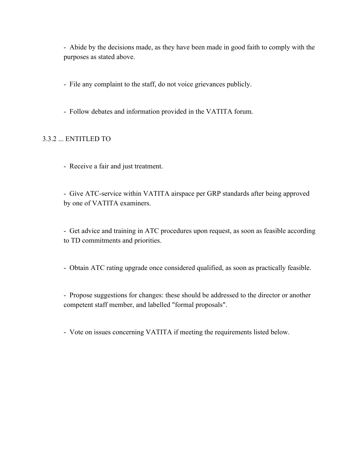Abide by the decisions made, as they have been made in good faith to comply with the purposes as stated above.

- File any complaint to the staff, do not voice grievances publicly.

Follow debates and information provided in the VATITA forum.

# 3.3.2 ... ENTITLED TO

- Receive a fair and just treatment.

- Give ATC-service within VATITA airspace per GRP standards after being approved by one of VATITA examiners.

- Get advice and training in ATC procedures upon request, as soon as feasible according to TD commitments and priorities.

Obtain ATC rating upgrade once considered qualified, as soon as practically feasible.

 Propose suggestions for changes: these should be addressed to the director or another competent staff member, and labelled "formal proposals".

Vote on issues concerning VATITA if meeting the requirements listed below.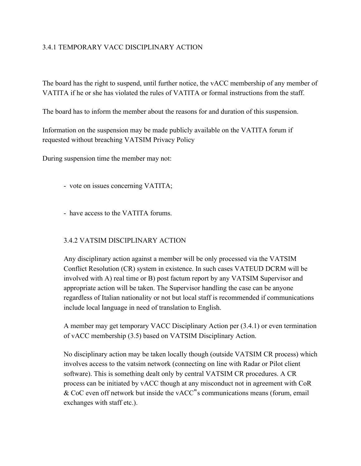# 3.4.1 TEMPORARY VACC DISCIPLINARY ACTION

The board has the right to suspend, until further notice, the vACC membership of any member of VATITA if he or she has violated the rules of VATITA or formal instructions from the staff.

The board has to inform the member about the reasons for and duration of this suspension.

Information on the suspension may be made publicly available on the VATITA forum if requested without breaching VATSIM Privacy Policy

During suspension time the member may not:

- vote on issues concerning VATITA;
- have access to the VATITA forums.

#### 3.4.2 VATSIM DISCIPLINARY ACTION

Any disciplinary action against a member will be only processed via the VATSIM Conflict Resolution (CR) system in existence. In such cases VATEUD DCRM will be involved with A) real time or B) post factum report by any VATSIM Supervisor and appropriate action will be taken. The Supervisor handling the case can be anyone regardless of Italian nationality or not but local staff is recommended if communications include local language in need of translation to English.

A member may get temporary VACC Disciplinary Action per (3.4.1) or even termination of vACC membership (3.5) based on VATSIM Disciplinary Action.

No disciplinary action may be taken locally though (outside VATSIM CR process) which involves access to the vatsim network (connecting on line with Radar or Pilot client software). This is something dealt only by central VATSIM CR procedures. A CR process can be initiated by vACC though at any misconduct not in agreement with CoR & CoC even off network but inside the vACC"s communications means (forum, email exchanges with staff etc.).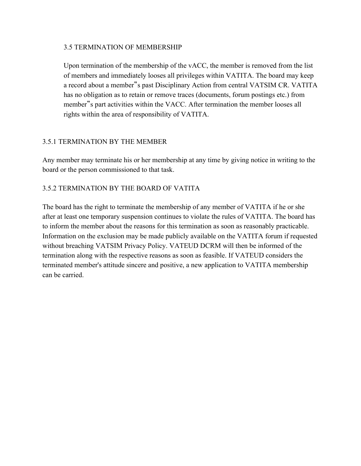#### 3.5 TERMINATION OF MEMBERSHIP

Upon termination of the membership of the vACC, the member is removed from the list of members and immediately looses all privileges within VATITA. The board may keep a record about a member"s past Disciplinary Action from central VATSIM CR. VATITA has no obligation as to retain or remove traces (documents, forum postings etc.) from member"s part activities within the VACC. After termination the member looses all rights within the area of responsibility of VATITA.

# 3.5.1 TERMINATION BY THE MEMBER

Any member may terminate his or her membership at any time by giving notice in writing to the board or the person commissioned to that task.

# 3.5.2 TERMINATION BY THE BOARD OF VATITA

The board has the right to terminate the membership of any member of VATITA if he or she after at least one temporary suspension continues to violate the rules of VATITA. The board has to inform the member about the reasons for this termination as soon as reasonably practicable. Information on the exclusion may be made publicly available on the VATITA forum if requested without breaching VATSIM Privacy Policy. VATEUD DCRM will then be informed of the termination along with the respective reasons as soon as feasible. If VATEUD considers the terminated member's attitude sincere and positive, a new application to VATITA membership can be carried.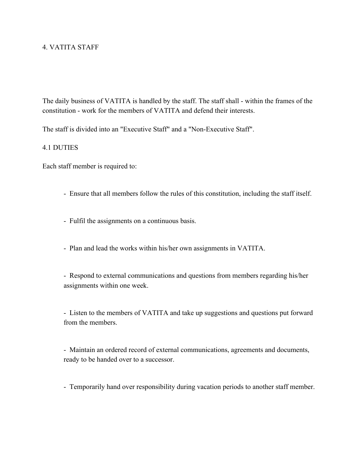## 4. VATITA STAFF

The daily business of VATITA is handled by the staff. The staff shall - within the frames of the constitution - work for the members of VATITA and defend their interests.

The staff is divided into an "Executive Staff" and a "Non-Executive Staff".

#### 4.1 DUTIES

Each staff member is required to:

- Ensure that all members follow the rules of this constitution, including the staff itself.
- Fulfil the assignments on a continuous basis.
- Plan and lead the works within his/her own assignments in VATITA.

 Respond to external communications and questions from members regarding his/her assignments within one week.

 Listen to the members of VATITA and take up suggestions and questions put forward from the members.

 Maintain an ordered record of external communications, agreements and documents, ready to be handed over to a successor.

Temporarily hand over responsibility during vacation periods to another staff member.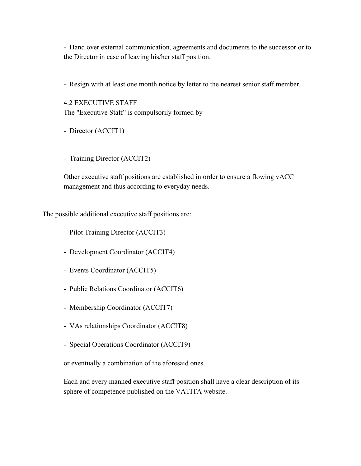- Hand over external communication, agreements and documents to the successor or to the Director in case of leaving his/her staff position.

Resign with at least one month notice by letter to the nearest senior staff member.

4.2 EXECUTIVE STAFF The "Executive Staff" is compulsorily formed by

- Director (ACCIT1)

- Training Director (ACCIT2)

Other executive staff positions are established in order to ensure a flowing vACC management and thus according to everyday needs.

The possible additional executive staff positions are:

- Pilot Training Director (ACCIT3)
- Development Coordinator (ACCIT4)
- Events Coordinator (ACCIT5)
- Public Relations Coordinator (ACCIT6)
- Membership Coordinator (ACCIT7)
- VAs relationships Coordinator (ACCIT8)
- Special Operations Coordinator (ACCIT9)

or eventually a combination of the aforesaid ones.

Each and every manned executive staff position shall have a clear description of its sphere of competence published on the VATITA website.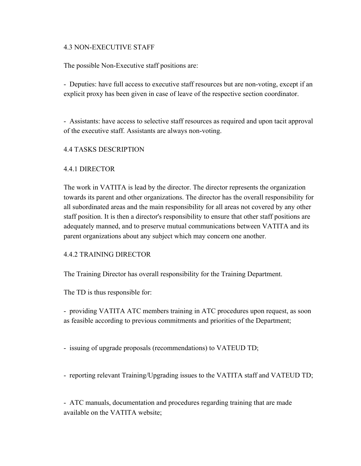### 4.3 NON-EXECUTIVE STAFF

The possible Non-Executive staff positions are:

- Deputies: have full access to executive staff resources but are non-voting, except if an explicit proxy has been given in case of leave of the respective section coordinator.

 Assistants: have access to selective staff resources as required and upon tacit approval of the executive staff. Assistants are always non-voting.

#### 4.4 TASKS DESCRIPTION

#### 4.4.1 DIRECTOR

The work in VATITA is lead by the director. The director represents the organization towards its parent and other organizations. The director has the overall responsibility for all subordinated areas and the main responsibility for all areas not covered by any other staff position. It is then a director's responsibility to ensure that other staff positions are adequately manned, and to preserve mutual communications between VATITA and its parent organizations about any subject which may concern one another.

#### 4.4.2 TRAINING DIRECTOR

The Training Director has overall responsibility for the Training Department.

The TD is thus responsible for:

 providing VATITA ATC members training in ATC procedures upon request, as soon as feasible according to previous commitments and priorities of the Department;

- issuing of upgrade proposals (recommendations) to VATEUD TD;

reporting relevant Training/Upgrading issues to the VATITA staff and VATEUD TD;

 ATC manuals, documentation and procedures regarding training that are made available on the VATITA website;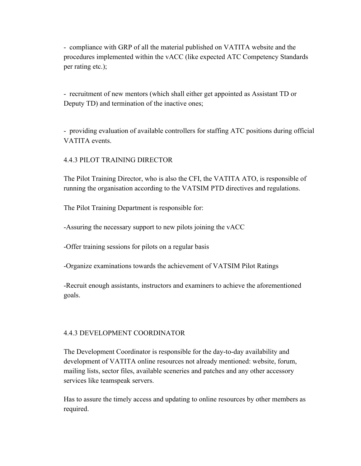- compliance with GRP of all the material published on VATITA website and the procedures implemented within the vACC (like expected ATC Competency Standards per rating etc.);

 recruitment of new mentors (which shall either get appointed as Assistant TD or Deputy TD) and termination of the inactive ones;

 providing evaluation of available controllers for staffing ATC positions during official VATITA events.

#### 4.4.3 PILOT TRAINING DIRECTOR

The Pilot Training Director, who is also the CFI, the VATITA ATO, is responsible of running the organisation according to the VATSIM PTD directives and regulations.

The Pilot Training Department is responsible for:

Assuring the necessary support to new pilots joining the vACC

Offer training sessions for pilots on a regular basis

Organize examinations towards the achievement of VATSIM Pilot Ratings

Recruit enough assistants, instructors and examiners to achieve the aforementioned goals.

## 4.4.3 DEVELOPMENT COORDINATOR

The Development Coordinator is responsible for the day-to-day availability and development of VATITA online resources not already mentioned: website, forum, mailing lists, sector files, available sceneries and patches and any other accessory services like teamspeak servers.

Has to assure the timely access and updating to online resources by other members as required.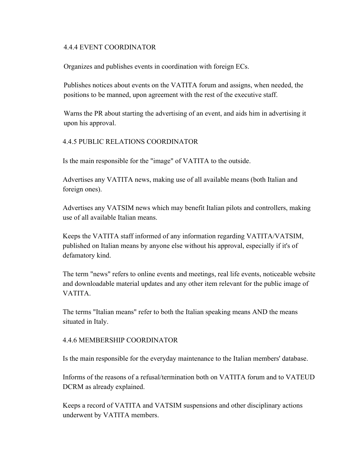### 4.4.4 EVENT COORDINATOR

Organizes and publishes events in coordination with foreign ECs.

Publishes notices about events on the VATITA forum and assigns, when needed, the positions to be manned, upon agreement with the rest of the executive staff.

Warns the PR about starting the advertising of an event, and aids him in advertising it upon his approval.

#### 4.4.5 PUBLIC RELATIONS COORDINATOR

Is the main responsible for the "image" of VATITA to the outside.

Advertises any VATITA news, making use of all available means (both Italian and foreign ones).

Advertises any VATSIM news which may benefit Italian pilots and controllers, making use of all available Italian means.

Keeps the VATITA staff informed of any information regarding VATITA/VATSIM, published on Italian means by anyone else without his approval, especially if it's of defamatory kind.

The term "news" refers to online events and meetings, real life events, noticeable website and downloadable material updates and any other item relevant for the public image of **VATITA** 

The terms "Italian means" refer to both the Italian speaking means AND the means situated in Italy.

#### 4.4.6 MEMBERSHIP COORDINATOR

Is the main responsible for the everyday maintenance to the Italian members' database.

Informs of the reasons of a refusal/termination both on VATITA forum and to VATEUD DCRM as already explained.

Keeps a record of VATITA and VATSIM suspensions and other disciplinary actions underwent by VATITA members.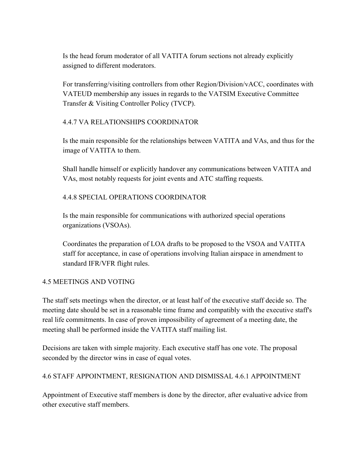Is the head forum moderator of all VATITA forum sections not already explicitly assigned to different moderators.

For transferring/visiting controllers from other Region/Division/vACC, coordinates with VATEUD membership any issues in regards to the VATSIM Executive Committee Transfer & Visiting Controller Policy (TVCP).

# 4.4.7 VA RELATIONSHIPS COORDINATOR

Is the main responsible for the relationships between VATITA and VAs, and thus for the image of VATITA to them.

Shall handle himself or explicitly handover any communications between VATITA and VAs, most notably requests for joint events and ATC staffing requests.

# 4.4.8 SPECIAL OPERATIONS COORDINATOR

Is the main responsible for communications with authorized special operations organizations (VSOAs).

Coordinates the preparation of LOA drafts to be proposed to the VSOA and VATITA staff for acceptance, in case of operations involving Italian airspace in amendment to standard IFR/VFR flight rules.

## 4.5 MEETINGS AND VOTING

The staff sets meetings when the director, or at least half of the executive staff decide so. The meeting date should be set in a reasonable time frame and compatibly with the executive staff's real life commitments. In case of proven impossibility of agreement of a meeting date, the meeting shall be performed inside the VATITA staff mailing list.

Decisions are taken with simple majority. Each executive staff has one vote. The proposal seconded by the director wins in case of equal votes.

## 4.6 STAFF APPOINTMENT, RESIGNATION AND DISMISSAL 4.6.1 APPOINTMENT

Appointment of Executive staff members is done by the director, after evaluative advice from other executive staff members.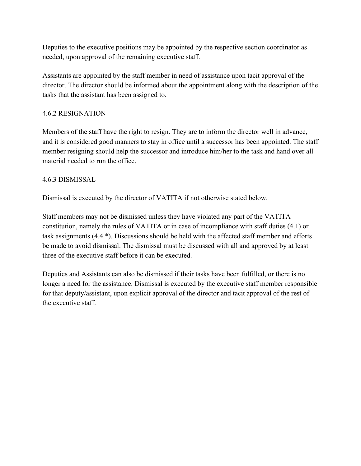Deputies to the executive positions may be appointed by the respective section coordinator as needed, upon approval of the remaining executive staff.

Assistants are appointed by the staff member in need of assistance upon tacit approval of the director. The director should be informed about the appointment along with the description of the tasks that the assistant has been assigned to.

# 4.6.2 RESIGNATION

Members of the staff have the right to resign. They are to inform the director well in advance, and it is considered good manners to stay in office until a successor has been appointed. The staff member resigning should help the successor and introduce him/her to the task and hand over all material needed to run the office.

# 4.6.3 DISMISSAL

Dismissal is executed by the director of VATITA if not otherwise stated below.

Staff members may not be dismissed unless they have violated any part of the VATITA constitution, namely the rules of VATITA or in case of incompliance with staff duties (4.1) or task assignments (4.4.\*). Discussions should be held with the affected staff member and efforts be made to avoid dismissal. The dismissal must be discussed with all and approved by at least three of the executive staff before it can be executed.

Deputies and Assistants can also be dismissed if their tasks have been fulfilled, or there is no longer a need for the assistance. Dismissal is executed by the executive staff member responsible for that deputy/assistant, upon explicit approval of the director and tacit approval of the rest of the executive staff.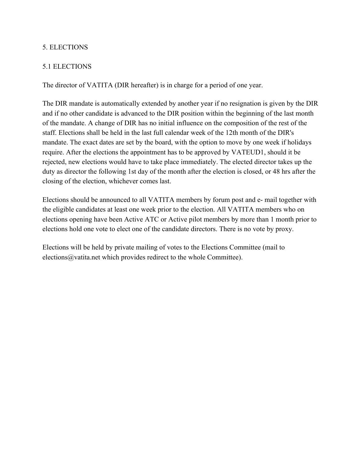# 5. ELECTIONS

# 5.1 ELECTIONS

The director of VATITA (DIR hereafter) is in charge for a period of one year.

The DIR mandate is automatically extended by another year if no resignation is given by the DIR and if no other candidate is advanced to the DIR position within the beginning of the last month of the mandate. A change of DIR has no initial influence on the composition of the rest of the staff. Elections shall be held in the last full calendar week of the 12th month of the DIR's mandate. The exact dates are set by the board, with the option to move by one week if holidays require. After the elections the appointment has to be approved by VATEUD1, should it be rejected, new elections would have to take place immediately. The elected director takes up the duty as director the following 1st day of the month after the election is closed, or 48 hrs after the closing of the election, whichever comes last.

Elections should be announced to all VATITA members by forum post and e- mail together with the eligible candidates at least one week prior to the election. All VATITA members who on elections opening have been Active ATC or Active pilot members by more than 1 month prior to elections hold one vote to elect one of the candidate directors. There is no vote by proxy.

Elections will be held by private mailing of votes to the Elections Committee (mail to elections@vatita.net which provides redirect to the whole Committee).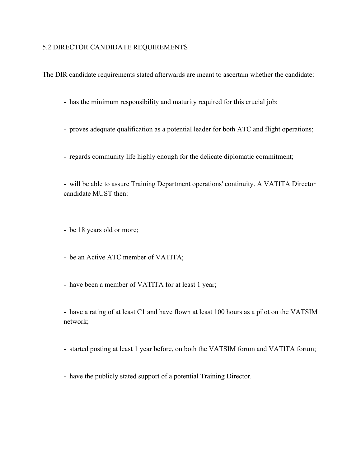### 5.2 DIRECTOR CANDIDATE REQUIREMENTS

The DIR candidate requirements stated afterwards are meant to ascertain whether the candidate:

- has the minimum responsibility and maturity required for this crucial job;
- proves adequate qualification as a potential leader for both ATC and flight operations;
- regards community life highly enough for the delicate diplomatic commitment;

 will be able to assure Training Department operations' continuity. A VATITA Director candidate MUST then:

- be 18 years old or more;

- be an Active ATC member of VATITA;
- have been a member of VATITA for at least 1 year;

- have a rating of at least C1 and have flown at least 100 hours as a pilot on the VATSIM network;

started posting at least 1 year before, on both the VATSIM forum and VATITA forum;

- have the publicly stated support of a potential Training Director.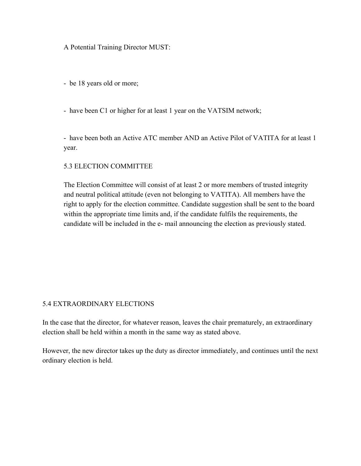A Potential Training Director MUST:

- be 18 years old or more;

- have been C1 or higher for at least 1 year on the VATSIM network;

- have been both an Active ATC member AND an Active Pilot of VATITA for at least 1 year.

## 5.3 ELECTION COMMITTEE

The Election Committee will consist of at least 2 or more members of trusted integrity and neutral political attitude (even not belonging to VATITA). All members have the right to apply for the election committee. Candidate suggestion shall be sent to the board within the appropriate time limits and, if the candidate fulfils the requirements, the candidate will be included in the e- mail announcing the election as previously stated.

## 5.4 EXTRAORDINARY ELECTIONS

In the case that the director, for whatever reason, leaves the chair prematurely, an extraordinary election shall be held within a month in the same way as stated above.

However, the new director takes up the duty as director immediately, and continues until the next ordinary election is held.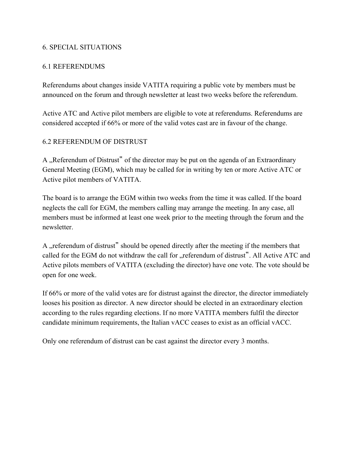## 6. SPECIAL SITUATIONS

## 6.1 REFERENDUMS

Referendums about changes inside VATITA requiring a public vote by members must be announced on the forum and through newsletter at least two weeks before the referendum.

Active ATC and Active pilot members are eligible to vote at referendums. Referendums are considered accepted if 66% or more of the valid votes cast are in favour of the change.

# 6.2 REFERENDUM OF DISTRUST

A "Referendum of Distrust" of the director may be put on the agenda of an Extraordinary General Meeting (EGM), which may be called for in writing by ten or more Active ATC or Active pilot members of VATITA.

The board is to arrange the EGM within two weeks from the time it was called. If the board neglects the call for EGM, the members calling may arrange the meeting. In any case, all members must be informed at least one week prior to the meeting through the forum and the newsletter.

A "referendum of distrust" should be opened directly after the meeting if the members that called for the EGM do not withdraw the call for "referendum of distrust". All Active ATC and Active pilots members of VATITA (excluding the director) have one vote. The vote should be open for one week.

If 66% or more of the valid votes are for distrust against the director, the director immediately looses his position as director. A new director should be elected in an extraordinary election according to the rules regarding elections. If no more VATITA members fulfil the director candidate minimum requirements, the Italian vACC ceases to exist as an official vACC.

Only one referendum of distrust can be cast against the director every 3 months.